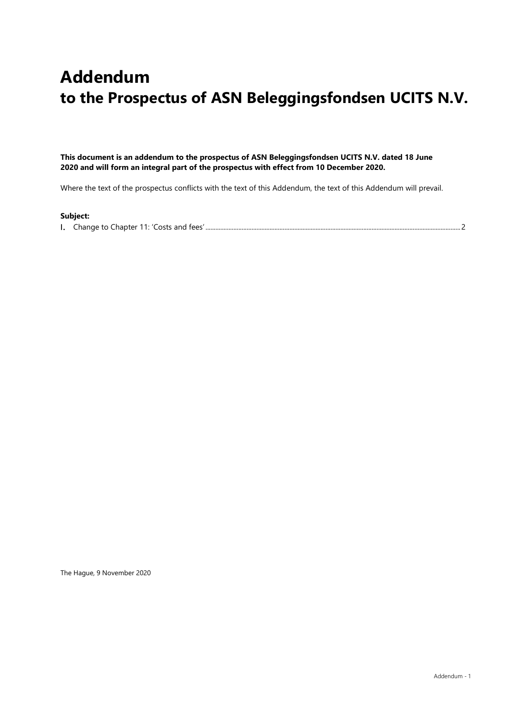## **Addendum to the Prospectus of ASN Beleggingsfondsen UCITS N.V.**

**This document is an addendum to the prospectus of ASN Beleggingsfondsen UCITS N.V. dated 18 June 2020 and will form an integral part of the prospectus with effect from 10 December 2020.** 

Where the text of the prospectus conflicts with the text of this Addendum, the text of this Addendum will prevail.

## **Subject:**

Change to Chapter 11: 'Costs and fees' ...........................................................................................................................................................2

The Hague, 9 November 2020